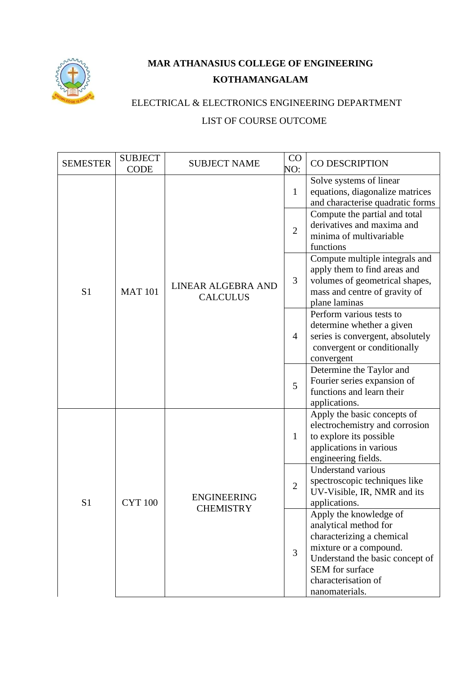

## **MAR ATHANASIUS COLLEGE OF ENGINEERING KOTHAMANGALAM**

## ELECTRICAL & ELECTRONICS ENGINEERING DEPARTMENT LIST OF COURSE OUTCOME

| <b>SEMESTER</b> | <b>SUBJECT</b><br><b>CODE</b> | <b>SUBJECT NAME</b>                    | CO<br>NO:      | CO DESCRIPTION                                                                                                                                                                                        |
|-----------------|-------------------------------|----------------------------------------|----------------|-------------------------------------------------------------------------------------------------------------------------------------------------------------------------------------------------------|
|                 |                               |                                        | $\mathbf{1}$   | Solve systems of linear<br>equations, diagonalize matrices<br>and characterise quadratic forms                                                                                                        |
|                 |                               |                                        | $\overline{2}$ | Compute the partial and total<br>derivatives and maxima and<br>minima of multivariable<br>functions                                                                                                   |
| S <sub>1</sub>  | <b>MAT 101</b>                | LINEAR ALGEBRA AND<br><b>CALCULUS</b>  | 3              | Compute multiple integrals and<br>apply them to find areas and<br>volumes of geometrical shapes,<br>mass and centre of gravity of<br>plane laminas                                                    |
|                 |                               |                                        | $\overline{4}$ | Perform various tests to<br>determine whether a given<br>series is convergent, absolutely<br>convergent or conditionally<br>convergent                                                                |
|                 |                               |                                        | 5              | Determine the Taylor and<br>Fourier series expansion of<br>functions and learn their<br>applications.                                                                                                 |
| S <sub>1</sub>  | <b>CYT 100</b>                | <b>ENGINEERING</b><br><b>CHEMISTRY</b> | $\mathbf{1}$   | Apply the basic concepts of<br>electrochemistry and corrosion<br>to explore its possible<br>applications in various<br>engineering fields.                                                            |
|                 |                               |                                        | $\mathbf{2}$   | <b>Understand various</b><br>spectroscopic techniques like<br>UV-Visible, IR, NMR and its<br>applications.                                                                                            |
|                 |                               |                                        | $\overline{3}$ | Apply the knowledge of<br>analytical method for<br>characterizing a chemical<br>mixture or a compound.<br>Understand the basic concept of<br>SEM for surface<br>characterisation of<br>nanomaterials. |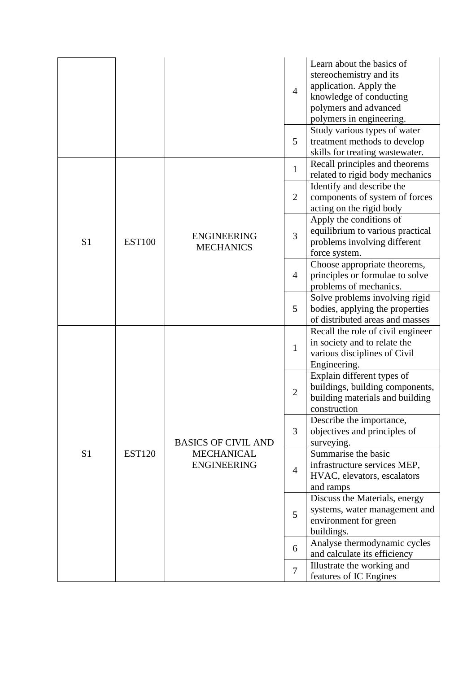|                |               |                                         | $\overline{4}$ | Learn about the basics of<br>stereochemistry and its<br>application. Apply the<br>knowledge of conducting<br>polymers and advanced<br>polymers in engineering. |
|----------------|---------------|-----------------------------------------|----------------|----------------------------------------------------------------------------------------------------------------------------------------------------------------|
|                |               |                                         | 5              | Study various types of water<br>treatment methods to develop<br>skills for treating wastewater.                                                                |
|                |               |                                         | $\mathbf{1}$   | Recall principles and theorems<br>related to rigid body mechanics                                                                                              |
|                |               |                                         | $\overline{2}$ | Identify and describe the<br>components of system of forces<br>acting on the rigid body                                                                        |
| S <sub>1</sub> | <b>EST100</b> | <b>ENGINEERING</b><br><b>MECHANICS</b>  | 3              | Apply the conditions of<br>equilibrium to various practical<br>problems involving different<br>force system.                                                   |
|                |               |                                         | 4              | Choose appropriate theorems,<br>principles or formulae to solve<br>problems of mechanics.                                                                      |
|                |               |                                         | 5              | Solve problems involving rigid<br>bodies, applying the properties<br>of distributed areas and masses                                                           |
|                |               |                                         | $\mathbf{1}$   | Recall the role of civil engineer<br>in society and to relate the<br>various disciplines of Civil<br>Engineering.                                              |
|                | <b>EST120</b> |                                         | $\overline{2}$ | Explain different types of<br>buildings, building components,<br>building materials and building<br>construction                                               |
|                |               | <b>BASICS OF CIVIL AND</b>              | 3              | Describe the importance,<br>objectives and principles of<br>surveying.                                                                                         |
| S <sub>1</sub> |               | <b>MECHANICAL</b><br><b>ENGINEERING</b> | $\overline{4}$ | Summarise the basic<br>infrastructure services MEP,<br>HVAC, elevators, escalators<br>and ramps                                                                |
|                |               |                                         | 5              | Discuss the Materials, energy<br>systems, water management and<br>environment for green<br>buildings.                                                          |
|                |               |                                         | 6              | Analyse thermodynamic cycles<br>and calculate its efficiency                                                                                                   |
|                |               |                                         | $\tau$         | Illustrate the working and<br>features of IC Engines                                                                                                           |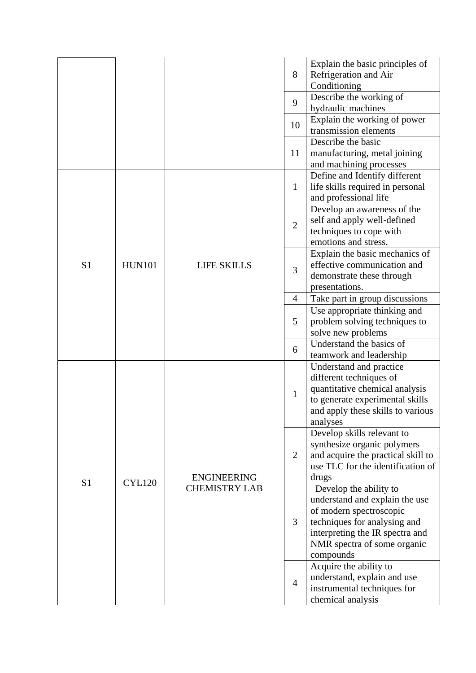|                |               |                      | 8              | Explain the basic principles of<br>Refrigeration and Air<br>Conditioning                                                                                                                           |
|----------------|---------------|----------------------|----------------|----------------------------------------------------------------------------------------------------------------------------------------------------------------------------------------------------|
|                |               |                      | 9              | Describe the working of<br>hydraulic machines                                                                                                                                                      |
|                |               |                      | 10             | Explain the working of power<br>transmission elements                                                                                                                                              |
|                |               |                      | 11             | Describe the basic<br>manufacturing, metal joining<br>and machining processes                                                                                                                      |
|                |               |                      | $\mathbf{1}$   | Define and Identify different<br>life skills required in personal<br>and professional life                                                                                                         |
|                |               |                      | $\overline{2}$ | Develop an awareness of the<br>self and apply well-defined<br>techniques to cope with<br>emotions and stress.                                                                                      |
| S <sub>1</sub> | <b>HUN101</b> | <b>LIFE SKILLS</b>   | 3              | Explain the basic mechanics of<br>effective communication and<br>demonstrate these through<br>presentations.                                                                                       |
|                |               |                      | $\overline{4}$ | Take part in group discussions                                                                                                                                                                     |
|                |               |                      | 5              | Use appropriate thinking and<br>problem solving techniques to<br>solve new problems                                                                                                                |
|                |               |                      | 6              | Understand the basics of<br>teamwork and leadership                                                                                                                                                |
|                |               |                      | $\mathbf{1}$   | Understand and practice<br>different techniques of<br>quantitative chemical analysis<br>to generate experimental skills<br>and apply these skills to various<br>analyses                           |
| S <sub>1</sub> | <b>CYL120</b> | <b>ENGINEERING</b>   | $\overline{2}$ | Develop skills relevant to<br>synthesize organic polymers<br>and acquire the practical skill to<br>use TLC for the identification of<br>drugs                                                      |
|                |               | <b>CHEMISTRY LAB</b> | 3              | Develop the ability to<br>understand and explain the use<br>of modern spectroscopic<br>techniques for analysing and<br>interpreting the IR spectra and<br>NMR spectra of some organic<br>compounds |
|                |               |                      | $\overline{4}$ | Acquire the ability to<br>understand, explain and use<br>instrumental techniques for<br>chemical analysis                                                                                          |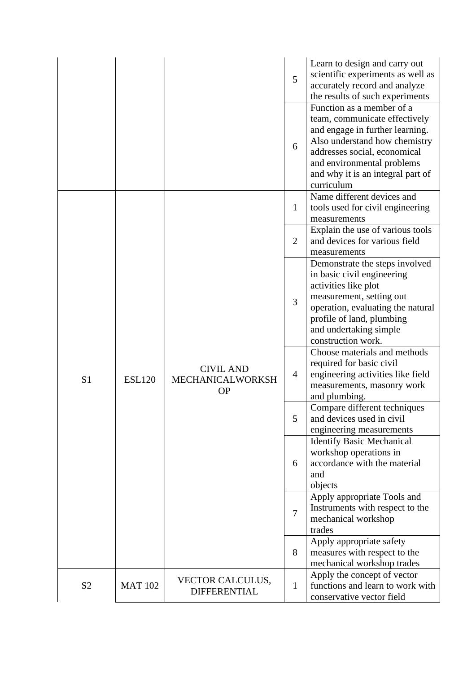|                |                |                                                   | 5              | Learn to design and carry out<br>scientific experiments as well as<br>accurately record and analyze<br>the results of such experiments                                                                                                          |
|----------------|----------------|---------------------------------------------------|----------------|-------------------------------------------------------------------------------------------------------------------------------------------------------------------------------------------------------------------------------------------------|
|                |                |                                                   | 6              | Function as a member of a<br>team, communicate effectively<br>and engage in further learning.<br>Also understand how chemistry<br>addresses social, economical<br>and environmental problems<br>and why it is an integral part of<br>curriculum |
|                |                |                                                   | $\mathbf{1}$   | Name different devices and<br>tools used for civil engineering<br>measurements                                                                                                                                                                  |
|                |                |                                                   | $\overline{2}$ | Explain the use of various tools<br>and devices for various field<br>measurements                                                                                                                                                               |
|                | <b>ESL120</b>  | <b>CIVIL AND</b><br>MECHANICALWORKSH<br><b>OP</b> | 3              | Demonstrate the steps involved<br>in basic civil engineering<br>activities like plot<br>measurement, setting out<br>operation, evaluating the natural<br>profile of land, plumbing<br>and undertaking simple<br>construction work.              |
| S <sub>1</sub> |                |                                                   | $\overline{4}$ | Choose materials and methods<br>required for basic civil<br>engineering activities like field<br>measurements, masonry work<br>and plumbing.                                                                                                    |
|                |                |                                                   | 5              | Compare different techniques<br>and devices used in civil<br>engineering measurements                                                                                                                                                           |
|                |                |                                                   | 6              | <b>Identify Basic Mechanical</b><br>workshop operations in<br>accordance with the material<br>and<br>objects                                                                                                                                    |
|                |                |                                                   | $\overline{7}$ | Apply appropriate Tools and<br>Instruments with respect to the<br>mechanical workshop<br>trades                                                                                                                                                 |
|                |                |                                                   | 8              | Apply appropriate safety<br>measures with respect to the<br>mechanical workshop trades                                                                                                                                                          |
| S <sub>2</sub> | <b>MAT 102</b> | <b>VECTOR CALCULUS,</b><br><b>DIFFERENTIAL</b>    | $\mathbf{1}$   | Apply the concept of vector<br>functions and learn to work with<br>conservative vector field                                                                                                                                                    |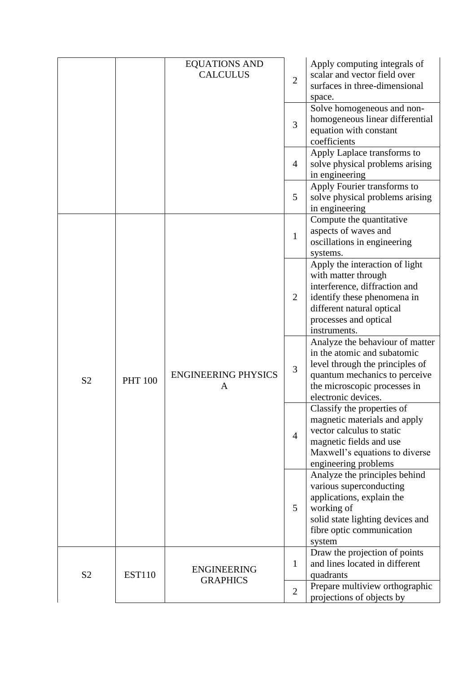|                |                | <b>EQUATIONS AND</b><br><b>CALCULUS</b> | $\overline{2}$ | Apply computing integrals of<br>scalar and vector field over<br>surfaces in three-dimensional<br>space.                                                                                     |
|----------------|----------------|-----------------------------------------|----------------|---------------------------------------------------------------------------------------------------------------------------------------------------------------------------------------------|
|                |                |                                         | 3              | Solve homogeneous and non-<br>homogeneous linear differential<br>equation with constant<br>coefficients                                                                                     |
|                |                |                                         | 4              | Apply Laplace transforms to<br>solve physical problems arising<br>in engineering                                                                                                            |
|                |                |                                         | 5              | Apply Fourier transforms to<br>solve physical problems arising<br>in engineering                                                                                                            |
|                |                |                                         | $\mathbf{1}$   | Compute the quantitative<br>aspects of waves and<br>oscillations in engineering<br>systems.                                                                                                 |
| S <sub>2</sub> | <b>PHT 100</b> | <b>ENGINEERING PHYSICS</b><br>A         | $\overline{2}$ | Apply the interaction of light<br>with matter through<br>interference, diffraction and<br>identify these phenomena in<br>different natural optical<br>processes and optical<br>instruments. |
|                |                |                                         | $\overline{3}$ | Analyze the behaviour of matter<br>in the atomic and subatomic<br>level through the principles of<br>quantum mechanics to perceive<br>the microscopic processes in<br>electronic devices.   |
|                |                |                                         | $\overline{4}$ | Classify the properties of<br>magnetic materials and apply<br>vector calculus to static<br>magnetic fields and use<br>Maxwell's equations to diverse<br>engineering problems                |
|                |                |                                         | 5              | Analyze the principles behind<br>various superconducting<br>applications, explain the<br>working of<br>solid state lighting devices and<br>fibre optic communication<br>system              |
| S <sub>2</sub> | <b>EST110</b>  | <b>ENGINEERING</b><br><b>GRAPHICS</b>   | $\mathbf{1}$   | Draw the projection of points<br>and lines located in different<br>quadrants                                                                                                                |
|                |                |                                         | $\overline{2}$ | Prepare multiview orthographic<br>projections of objects by                                                                                                                                 |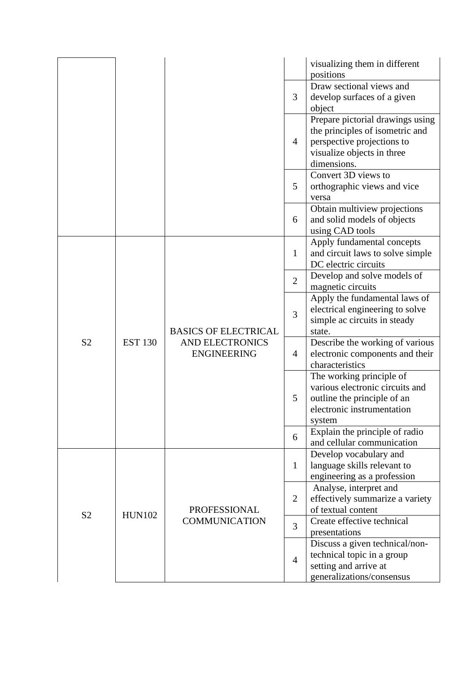|                |                |                                                                             |                | visualizing them in different<br>positions                                                                                                     |
|----------------|----------------|-----------------------------------------------------------------------------|----------------|------------------------------------------------------------------------------------------------------------------------------------------------|
|                |                |                                                                             | 3              | Draw sectional views and<br>develop surfaces of a given<br>object                                                                              |
|                |                |                                                                             | $\overline{4}$ | Prepare pictorial drawings using<br>the principles of isometric and<br>perspective projections to<br>visualize objects in three<br>dimensions. |
|                |                |                                                                             | 5              | Convert 3D views to<br>orthographic views and vice<br>versa                                                                                    |
|                |                |                                                                             | 6              | Obtain multiview projections<br>and solid models of objects<br>using CAD tools                                                                 |
|                |                | <b>BASICS OF ELECTRICAL</b><br><b>AND ELECTRONICS</b><br><b>ENGINEERING</b> | $\mathbf{1}$   | Apply fundamental concepts<br>and circuit laws to solve simple<br>DC electric circuits                                                         |
|                | <b>EST 130</b> |                                                                             | $\overline{2}$ | Develop and solve models of<br>magnetic circuits                                                                                               |
|                |                |                                                                             | 3              | Apply the fundamental laws of<br>electrical engineering to solve<br>simple ac circuits in steady<br>state.                                     |
| S <sub>2</sub> |                |                                                                             | $\overline{4}$ | Describe the working of various<br>electronic components and their<br>characteristics                                                          |
|                |                |                                                                             | 5              | The working principle of<br>various electronic circuits and<br>outline the principle of an<br>electronic instrumentation<br>system             |
|                |                |                                                                             | 6              | Explain the principle of radio<br>and cellular communication                                                                                   |
|                |                |                                                                             | $\mathbf{1}$   | Develop vocabulary and<br>language skills relevant to<br>engineering as a profession                                                           |
|                | <b>HUN102</b>  | <b>PROFESSIONAL</b>                                                         | $\overline{2}$ | Analyse, interpret and<br>effectively summarize a variety<br>of textual content                                                                |
| S <sub>2</sub> |                | <b>COMMUNICATION</b>                                                        | $\overline{3}$ | Create effective technical<br>presentations                                                                                                    |
|                |                |                                                                             | $\overline{4}$ | Discuss a given technical/non-<br>technical topic in a group<br>setting and arrive at<br>generalizations/consensus                             |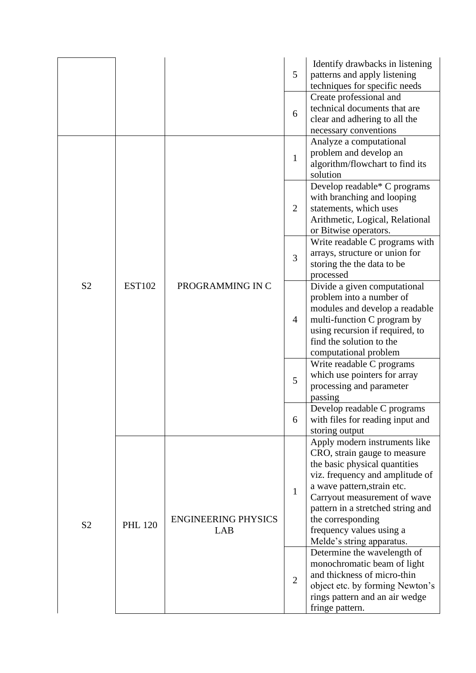|                                  |                                 |                                   | 5              | Identify drawbacks in listening<br>patterns and apply listening<br>techniques for specific needs                                                                                                                                                                                                                    |
|----------------------------------|---------------------------------|-----------------------------------|----------------|---------------------------------------------------------------------------------------------------------------------------------------------------------------------------------------------------------------------------------------------------------------------------------------------------------------------|
|                                  |                                 |                                   | 6              | Create professional and<br>technical documents that are<br>clear and adhering to all the<br>necessary conventions                                                                                                                                                                                                   |
|                                  |                                 |                                   | $\mathbf{1}$   | Analyze a computational<br>problem and develop an<br>algorithm/flowchart to find its<br>solution                                                                                                                                                                                                                    |
|                                  |                                 |                                   | $\overline{2}$ | Develop readable* C programs<br>with branching and looping<br>statements, which uses<br>Arithmetic, Logical, Relational<br>or Bitwise operators.                                                                                                                                                                    |
|                                  |                                 |                                   | 3              | Write readable C programs with<br>arrays, structure or union for<br>storing the the data to be<br>processed                                                                                                                                                                                                         |
| S <sub>2</sub><br>S <sub>2</sub> | <b>EST102</b><br><b>PHL 120</b> | PROGRAMMING IN C                  | $\overline{4}$ | Divide a given computational<br>problem into a number of<br>modules and develop a readable<br>multi-function C program by<br>using recursion if required, to<br>find the solution to the<br>computational problem                                                                                                   |
|                                  |                                 |                                   | 5              | Write readable C programs<br>which use pointers for array<br>processing and parameter<br>passing                                                                                                                                                                                                                    |
|                                  |                                 |                                   | 6              | Develop readable C programs<br>with files for reading input and<br>storing output                                                                                                                                                                                                                                   |
|                                  |                                 | <b>ENGINEERING PHYSICS</b><br>LAB | $\mathbf{1}$   | Apply modern instruments like<br>CRO, strain gauge to measure<br>the basic physical quantities<br>viz. frequency and amplitude of<br>a wave pattern, strain etc.<br>Carryout measurement of wave<br>pattern in a stretched string and<br>the corresponding<br>frequency values using a<br>Melde's string apparatus. |
|                                  |                                 |                                   | $\overline{2}$ | Determine the wavelength of<br>monochromatic beam of light<br>and thickness of micro-thin<br>object etc. by forming Newton's<br>rings pattern and an air wedge<br>fringe pattern.                                                                                                                                   |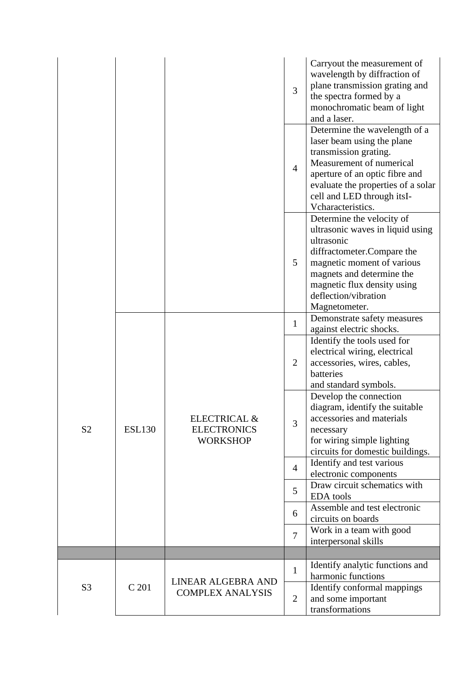|                |               |                                                                  | 3              | Carryout the measurement of<br>wavelength by diffraction of<br>plane transmission grating and<br>the spectra formed by a<br>monochromatic beam of light<br>and a laser.                                                                      |
|----------------|---------------|------------------------------------------------------------------|----------------|----------------------------------------------------------------------------------------------------------------------------------------------------------------------------------------------------------------------------------------------|
|                |               |                                                                  | $\overline{4}$ | Determine the wavelength of a<br>laser beam using the plane<br>transmission grating.<br>Measurement of numerical<br>aperture of an optic fibre and<br>evaluate the properties of a solar<br>cell and LED through itsI-<br>Vcharacteristics.  |
|                |               |                                                                  | 5              | Determine the velocity of<br>ultrasonic waves in liquid using<br>ultrasonic<br>diffractometer.Compare the<br>magnetic moment of various<br>magnets and determine the<br>magnetic flux density using<br>deflection/vibration<br>Magnetometer. |
|                |               |                                                                  | $\mathbf{1}$   | Demonstrate safety measures<br>against electric shocks.                                                                                                                                                                                      |
| S <sub>2</sub> | <b>ESL130</b> | <b>ELECTRICAL &amp;</b><br><b>ELECTRONICS</b><br><b>WORKSHOP</b> | $\overline{2}$ | Identify the tools used for<br>electrical wiring, electrical<br>accessories, wires, cables,<br>batteries<br>and standard symbols.                                                                                                            |
|                |               |                                                                  | 3              | Develop the connection<br>diagram, identify the suitable<br>accessories and materials<br>necessary<br>for wiring simple lighting<br>circuits for domestic buildings.                                                                         |
|                |               |                                                                  | $\overline{4}$ | Identify and test various<br>electronic components                                                                                                                                                                                           |
|                |               |                                                                  | 5              | Draw circuit schematics with<br><b>EDA</b> tools                                                                                                                                                                                             |
|                |               |                                                                  | 6              | Assemble and test electronic<br>circuits on boards                                                                                                                                                                                           |
|                |               |                                                                  | $\overline{7}$ | Work in a team with good<br>interpersonal skills                                                                                                                                                                                             |
|                |               |                                                                  |                |                                                                                                                                                                                                                                              |
|                |               | LINEAR ALGEBRA AND                                               | 1              | Identify analytic functions and<br>harmonic functions                                                                                                                                                                                        |
| S <sub>3</sub> | C 201         | <b>COMPLEX ANALYSIS</b>                                          | $\overline{2}$ | Identify conformal mappings<br>and some important<br>transformations                                                                                                                                                                         |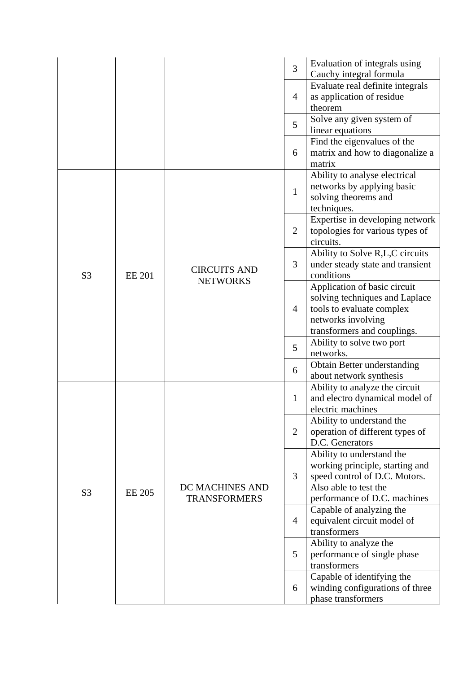|                |               |                                        | 3              | Evaluation of integrals using<br>Cauchy integral formula                                                                                               |
|----------------|---------------|----------------------------------------|----------------|--------------------------------------------------------------------------------------------------------------------------------------------------------|
|                |               |                                        | $\overline{4}$ | Evaluate real definite integrals<br>as application of residue<br>theorem                                                                               |
|                |               |                                        | 5              | Solve any given system of<br>linear equations                                                                                                          |
|                |               |                                        | 6              | Find the eigenvalues of the<br>matrix and how to diagonalize a<br>matrix                                                                               |
|                |               |                                        | $\mathbf{1}$   | Ability to analyse electrical<br>networks by applying basic<br>solving theorems and<br>techniques.                                                     |
|                |               |                                        | $\overline{2}$ | Expertise in developing network<br>topologies for various types of<br>circuits.                                                                        |
| S <sub>3</sub> | <b>EE 201</b> | <b>CIRCUITS AND</b><br><b>NETWORKS</b> | 3              | Ability to Solve R,L,C circuits<br>under steady state and transient<br>conditions                                                                      |
|                |               |                                        | $\overline{4}$ | Application of basic circuit<br>solving techniques and Laplace<br>tools to evaluate complex<br>networks involving<br>transformers and couplings.       |
|                |               |                                        | 5              | Ability to solve two port<br>networks.                                                                                                                 |
|                |               |                                        | 6              | Obtain Better understanding<br>about network synthesis                                                                                                 |
|                |               |                                        | $\mathbf{1}$   | Ability to analyze the circuit<br>and electro dynamical model of<br>electric machines                                                                  |
|                |               | DC MACHINES AND<br><b>TRANSFORMERS</b> | $\overline{2}$ | Ability to understand the<br>operation of different types of<br>D.C. Generators                                                                        |
| S <sub>3</sub> | <b>EE 205</b> |                                        | 3              | Ability to understand the<br>working principle, starting and<br>speed control of D.C. Motors.<br>Also able to test the<br>performance of D.C. machines |
|                |               |                                        | $\overline{4}$ | Capable of analyzing the<br>equivalent circuit model of<br>transformers                                                                                |
|                |               |                                        | 5              | Ability to analyze the<br>performance of single phase<br>transformers                                                                                  |
|                |               |                                        | 6              | Capable of identifying the<br>winding configurations of three<br>phase transformers                                                                    |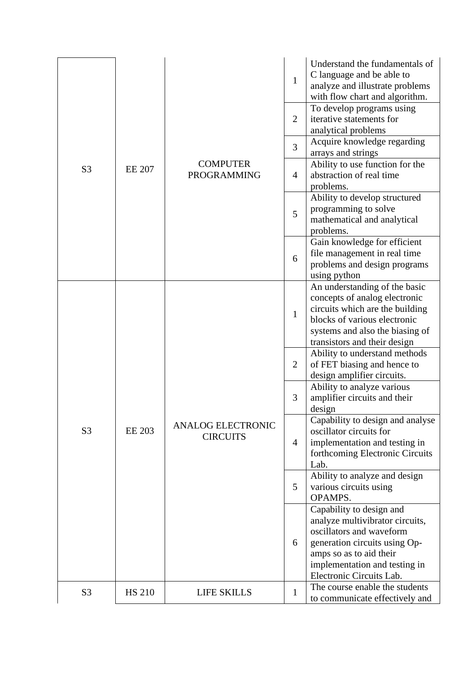|                |               |                                             | $\mathbf{1}$   | Understand the fundamentals of<br>C language and be able to<br>analyze and illustrate problems<br>with flow chart and algorithm.                                                                                 |
|----------------|---------------|---------------------------------------------|----------------|------------------------------------------------------------------------------------------------------------------------------------------------------------------------------------------------------------------|
|                |               |                                             | $\overline{2}$ | To develop programs using<br>iterative statements for<br>analytical problems                                                                                                                                     |
|                |               |                                             | $\overline{3}$ | Acquire knowledge regarding<br>arrays and strings                                                                                                                                                                |
| S <sub>3</sub> | <b>EE 207</b> | <b>COMPUTER</b><br><b>PROGRAMMING</b>       | $\overline{4}$ | Ability to use function for the<br>abstraction of real time<br>problems.                                                                                                                                         |
|                |               |                                             | 5              | Ability to develop structured<br>programming to solve<br>mathematical and analytical<br>problems.                                                                                                                |
|                |               |                                             | 6              | Gain knowledge for efficient<br>file management in real time<br>problems and design programs<br>using python                                                                                                     |
|                | <b>EE 203</b> | <b>ANALOG ELECTRONIC</b><br><b>CIRCUITS</b> | $\mathbf{1}$   | An understanding of the basic<br>concepts of analog electronic<br>circuits which are the building<br>blocks of various electronic<br>systems and also the biasing of<br>transistors and their design             |
|                |               |                                             | $\overline{2}$ | Ability to understand methods<br>of FET biasing and hence to<br>design amplifier circuits.                                                                                                                       |
|                |               |                                             | 3              | Ability to analyze various<br>amplifier circuits and their<br>design                                                                                                                                             |
| S <sub>3</sub> |               |                                             | $\overline{4}$ | Capability to design and analyse<br>oscillator circuits for<br>implementation and testing in<br>forthcoming Electronic Circuits<br>Lab.                                                                          |
|                |               |                                             | 5              | Ability to analyze and design<br>various circuits using<br>OPAMPS.                                                                                                                                               |
|                |               |                                             | 6              | Capability to design and<br>analyze multivibrator circuits,<br>oscillators and waveform<br>generation circuits using Op-<br>amps so as to aid their<br>implementation and testing in<br>Electronic Circuits Lab. |
| S <sub>3</sub> | <b>HS 210</b> | <b>LIFE SKILLS</b>                          | $\mathbf{1}$   | The course enable the students<br>to communicate effectively and                                                                                                                                                 |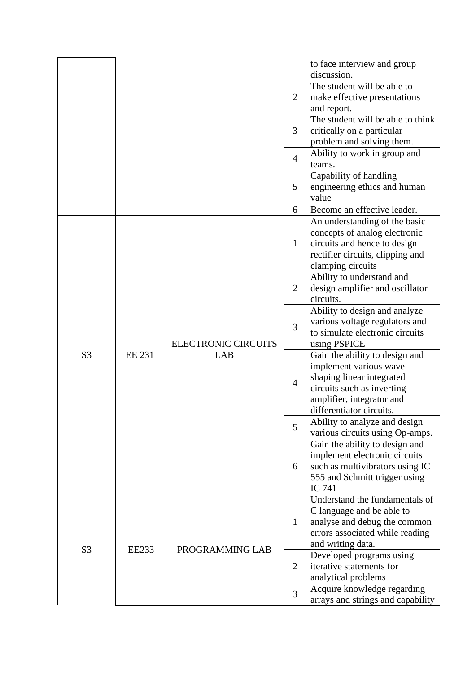|                |               |                                   |                | to face interview and group<br>discussion.                                                                                                                                   |
|----------------|---------------|-----------------------------------|----------------|------------------------------------------------------------------------------------------------------------------------------------------------------------------------------|
|                |               |                                   | $\overline{2}$ | The student will be able to<br>make effective presentations<br>and report.                                                                                                   |
|                |               |                                   | 3              | The student will be able to think<br>critically on a particular<br>problem and solving them.                                                                                 |
|                |               |                                   | $\overline{4}$ | Ability to work in group and<br>teams.                                                                                                                                       |
|                |               |                                   | 5              | Capability of handling<br>engineering ethics and human<br>value                                                                                                              |
|                |               |                                   | 6              | Become an effective leader.                                                                                                                                                  |
|                |               | <b>ELECTRONIC CIRCUITS</b><br>LAB | $\mathbf{1}$   | An understanding of the basic<br>concepts of analog electronic<br>circuits and hence to design<br>rectifier circuits, clipping and<br>clamping circuits                      |
|                | <b>EE 231</b> |                                   | $\overline{2}$ | Ability to understand and<br>design amplifier and oscillator<br>circuits.                                                                                                    |
|                |               |                                   | 3              | Ability to design and analyze<br>various voltage regulators and<br>to simulate electronic circuits<br>using PSPICE                                                           |
| S <sub>3</sub> |               |                                   | $\overline{4}$ | Gain the ability to design and<br>implement various wave<br>shaping linear integrated<br>circuits such as inverting<br>amplifier, integrator and<br>differentiator circuits. |
|                |               |                                   | 5              | Ability to analyze and design<br>various circuits using Op-amps.                                                                                                             |
|                |               |                                   | 6              | Gain the ability to design and<br>implement electronic circuits<br>such as multivibrators using IC<br>555 and Schmitt trigger using<br>IC 741                                |
|                |               |                                   | $\mathbf{1}$   | Understand the fundamentals of<br>C language and be able to<br>analyse and debug the common<br>errors associated while reading<br>and writing data.                          |
| S <sub>3</sub> | <b>EE233</b>  | PROGRAMMING LAB                   | $\overline{2}$ | Developed programs using<br>iterative statements for<br>analytical problems                                                                                                  |
|                |               |                                   | $\overline{3}$ | Acquire knowledge regarding<br>arrays and strings and capability                                                                                                             |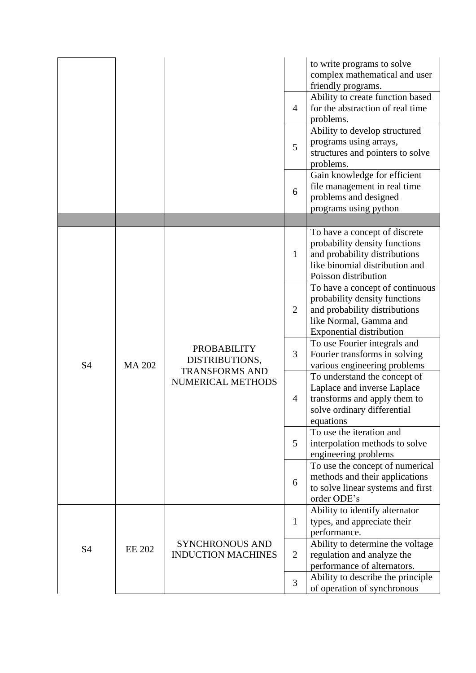|           |               |                                                                                    | $\overline{4}$<br>5 | to write programs to solve<br>complex mathematical and user<br>friendly programs.<br>Ability to create function based<br>for the abstraction of real time<br>problems.<br>Ability to develop structured<br>programs using arrays,<br>structures and pointers to solve<br>problems. |
|-----------|---------------|------------------------------------------------------------------------------------|---------------------|------------------------------------------------------------------------------------------------------------------------------------------------------------------------------------------------------------------------------------------------------------------------------------|
|           |               |                                                                                    | 6                   | Gain knowledge for efficient<br>file management in real time<br>problems and designed<br>programs using python                                                                                                                                                                     |
|           |               |                                                                                    |                     |                                                                                                                                                                                                                                                                                    |
|           | <b>MA 202</b> | <b>PROBABILITY</b><br>DISTRIBUTIONS,<br><b>TRANSFORMS AND</b><br>NUMERICAL METHODS | $\mathbf{1}$        | To have a concept of discrete<br>probability density functions<br>and probability distributions<br>like binomial distribution and<br>Poisson distribution                                                                                                                          |
|           |               |                                                                                    | $\overline{2}$      | To have a concept of continuous<br>probability density functions<br>and probability distributions<br>like Normal, Gamma and<br><b>Exponential distribution</b>                                                                                                                     |
| <b>S4</b> |               |                                                                                    | 3                   | To use Fourier integrals and<br>Fourier transforms in solving<br>various engineering problems                                                                                                                                                                                      |
|           |               |                                                                                    | $\overline{4}$      | To understand the concept of<br>Laplace and inverse Laplace<br>transforms and apply them to<br>solve ordinary differential<br>equations                                                                                                                                            |
|           |               |                                                                                    | 5                   | To use the iteration and<br>interpolation methods to solve<br>engineering problems                                                                                                                                                                                                 |
|           |               |                                                                                    | 6                   | To use the concept of numerical<br>methods and their applications<br>to solve linear systems and first<br>order ODE's                                                                                                                                                              |
|           |               |                                                                                    | $\mathbf{1}$        | Ability to identify alternator<br>types, and appreciate their<br>performance.                                                                                                                                                                                                      |
| <b>S4</b> | <b>EE 202</b> | <b>SYNCHRONOUS AND</b><br><b>INDUCTION MACHINES</b>                                | $\overline{2}$      | Ability to determine the voltage<br>regulation and analyze the<br>performance of alternators.                                                                                                                                                                                      |
|           |               |                                                                                    | $\overline{3}$      | Ability to describe the principle<br>of operation of synchronous                                                                                                                                                                                                                   |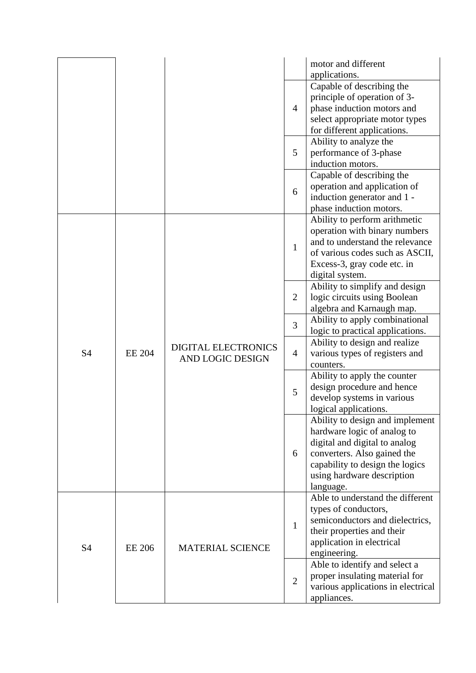|                |               |                                         |                | motor and different<br>applications.                                                                                                                                                                         |
|----------------|---------------|-----------------------------------------|----------------|--------------------------------------------------------------------------------------------------------------------------------------------------------------------------------------------------------------|
|                |               |                                         | $\overline{4}$ | Capable of describing the<br>principle of operation of 3-<br>phase induction motors and<br>select appropriate motor types<br>for different applications.                                                     |
|                |               |                                         | 5              | Ability to analyze the<br>performance of 3-phase<br>induction motors.                                                                                                                                        |
|                |               |                                         | 6              | Capable of describing the<br>operation and application of<br>induction generator and 1 -<br>phase induction motors.                                                                                          |
|                |               |                                         | $\mathbf{1}$   | Ability to perform arithmetic<br>operation with binary numbers<br>and to understand the relevance<br>of various codes such as ASCII,<br>Excess-3, gray code etc. in<br>digital system.                       |
|                | <b>EE 204</b> | DIGITAL ELECTRONICS<br>AND LOGIC DESIGN | $\overline{2}$ | Ability to simplify and design<br>logic circuits using Boolean<br>algebra and Karnaugh map.                                                                                                                  |
|                |               |                                         | 3              | Ability to apply combinational<br>logic to practical applications.                                                                                                                                           |
| S4             |               |                                         | $\overline{4}$ | Ability to design and realize<br>various types of registers and<br>counters.                                                                                                                                 |
|                |               |                                         | 5              | Ability to apply the counter<br>design procedure and hence<br>develop systems in various<br>logical applications.                                                                                            |
|                |               |                                         | 6              | Ability to design and implement<br>hardware logic of analog to<br>digital and digital to analog<br>converters. Also gained the<br>capability to design the logics<br>using hardware description<br>language. |
| S <sub>4</sub> | <b>EE 206</b> | <b>MATERIAL SCIENCE</b>                 | $\mathbf{1}$   | Able to understand the different<br>types of conductors,<br>semiconductors and dielectrics,<br>their properties and their<br>application in electrical<br>engineering.                                       |
|                |               |                                         | $\overline{2}$ | Able to identify and select a<br>proper insulating material for<br>various applications in electrical<br>appliances.                                                                                         |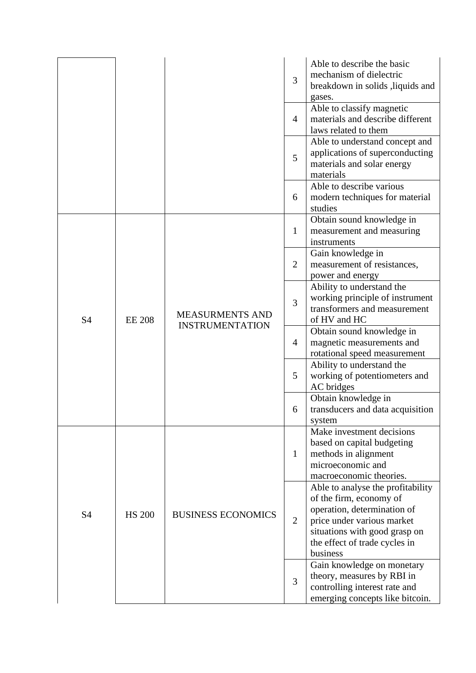|           |               |                                                  | 3              | Able to describe the basic<br>mechanism of dielectric<br>breakdown in solids , liquids and<br>gases.                                                                                                    |
|-----------|---------------|--------------------------------------------------|----------------|---------------------------------------------------------------------------------------------------------------------------------------------------------------------------------------------------------|
|           |               |                                                  | $\overline{4}$ | Able to classify magnetic<br>materials and describe different<br>laws related to them                                                                                                                   |
|           |               |                                                  | 5              | Able to understand concept and<br>applications of superconducting<br>materials and solar energy<br>materials                                                                                            |
|           |               |                                                  | 6              | Able to describe various<br>modern techniques for material<br>studies                                                                                                                                   |
|           |               |                                                  | 1              | Obtain sound knowledge in<br>measurement and measuring<br>instruments                                                                                                                                   |
|           |               |                                                  | $\overline{2}$ | Gain knowledge in<br>measurement of resistances,<br>power and energy                                                                                                                                    |
| S4        | <b>EE 208</b> | <b>MEASURMENTS AND</b><br><b>INSTRUMENTATION</b> | 3              | Ability to understand the<br>working principle of instrument<br>transformers and measurement<br>of HV and HC                                                                                            |
|           |               |                                                  | $\overline{4}$ | Obtain sound knowledge in<br>magnetic measurements and<br>rotational speed measurement                                                                                                                  |
|           |               |                                                  | 5              | Ability to understand the<br>working of potentiometers and<br>AC bridges                                                                                                                                |
|           |               |                                                  | 6              | Obtain knowledge in<br>transducers and data acquisition<br>system                                                                                                                                       |
|           | <b>HS 200</b> |                                                  | 1              | Make investment decisions<br>based on capital budgeting<br>methods in alignment<br>microeconomic and<br>macroeconomic theories.                                                                         |
| <b>S4</b> |               | <b>BUSINESS ECONOMICS</b>                        | 2              | Able to analyse the profitability<br>of the firm, economy of<br>operation, determination of<br>price under various market<br>situations with good grasp on<br>the effect of trade cycles in<br>business |
|           |               |                                                  | $\overline{3}$ | Gain knowledge on monetary<br>theory, measures by RBI in<br>controlling interest rate and<br>emerging concepts like bitcoin.                                                                            |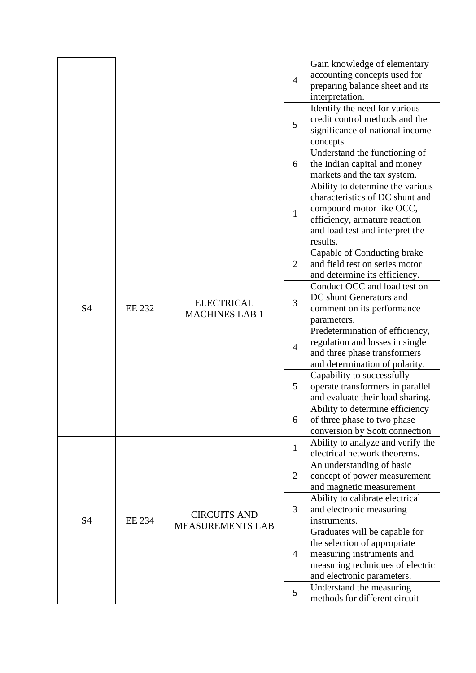|           |               |                                            | $\overline{4}$ | Gain knowledge of elementary<br>accounting concepts used for<br>preparing balance sheet and its<br>interpretation.                                                              |
|-----------|---------------|--------------------------------------------|----------------|---------------------------------------------------------------------------------------------------------------------------------------------------------------------------------|
|           |               |                                            | 5              | Identify the need for various<br>credit control methods and the<br>significance of national income<br>concepts.                                                                 |
|           |               |                                            | 6              | Understand the functioning of<br>the Indian capital and money<br>markets and the tax system.                                                                                    |
|           |               |                                            | $\mathbf{1}$   | Ability to determine the various<br>characteristics of DC shunt and<br>compound motor like OCC,<br>efficiency, armature reaction<br>and load test and interpret the<br>results. |
|           | <b>EE 232</b> | <b>ELECTRICAL</b><br><b>MACHINES LAB 1</b> | $\overline{2}$ | Capable of Conducting brake<br>and field test on series motor<br>and determine its efficiency.                                                                                  |
| S4        |               |                                            | 3              | Conduct OCC and load test on<br>DC shunt Generators and<br>comment on its performance<br>parameters.                                                                            |
|           |               |                                            | $\overline{4}$ | Predetermination of efficiency,<br>regulation and losses in single<br>and three phase transformers<br>and determination of polarity.                                            |
|           |               |                                            | 5              | Capability to successfully<br>operate transformers in parallel<br>and evaluate their load sharing.                                                                              |
|           |               |                                            | 6              | Ability to determine efficiency<br>of three phase to two phase<br>conversion by Scott connection                                                                                |
|           |               |                                            | $\mathbf{1}$   | Ability to analyze and verify the<br>electrical network theorems.                                                                                                               |
| <b>S4</b> |               |                                            | $\overline{2}$ | An understanding of basic<br>concept of power measurement<br>and magnetic measurement                                                                                           |
|           | <b>EE 234</b> | <b>CIRCUITS AND</b>                        | 3              | Ability to calibrate electrical<br>and electronic measuring<br>instruments.                                                                                                     |
|           |               | <b>MEASUREMENTS LAB</b>                    | $\overline{4}$ | Graduates will be capable for<br>the selection of appropriate<br>measuring instruments and<br>measuring techniques of electric<br>and electronic parameters.                    |
|           |               |                                            | 5              | Understand the measuring<br>methods for different circuit                                                                                                                       |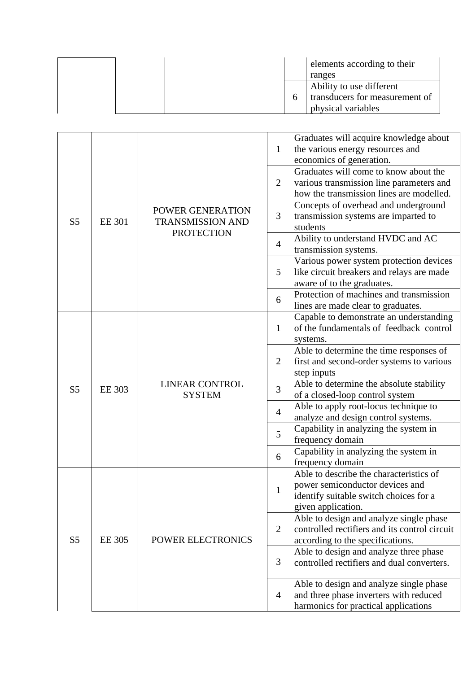|  | elements according to their<br>ranges                                            |
|--|----------------------------------------------------------------------------------|
|  | Ability to use different<br>transducers for measurement of<br>physical variables |

|                |               |                                        |                | Graduates will acquire knowledge about        |
|----------------|---------------|----------------------------------------|----------------|-----------------------------------------------|
|                |               |                                        | $\mathbf{1}$   | the various energy resources and              |
|                |               |                                        |                | economics of generation.                      |
|                |               |                                        |                | Graduates will come to know about the         |
|                |               |                                        | $\overline{2}$ | various transmission line parameters and      |
|                |               |                                        |                | how the transmission lines are modelled.      |
|                |               |                                        |                | Concepts of overhead and underground          |
|                |               | POWER GENERATION                       | 3              | transmission systems are imparted to          |
| S <sub>5</sub> | <b>EE 301</b> | <b>TRANSMISSION AND</b>                |                | students                                      |
|                |               | <b>PROTECTION</b>                      |                | Ability to understand HVDC and AC             |
|                |               |                                        | $\overline{4}$ | transmission systems.                         |
|                |               |                                        |                | Various power system protection devices       |
|                |               |                                        | 5              | like circuit breakers and relays are made     |
|                |               |                                        |                | aware of to the graduates.                    |
|                |               |                                        |                | Protection of machines and transmission       |
|                |               |                                        | 6              | lines are made clear to graduates.            |
|                |               |                                        |                | Capable to demonstrate an understanding       |
|                | <b>EE 303</b> | <b>LINEAR CONTROL</b><br><b>SYSTEM</b> | $\mathbf{1}$   | of the fundamentals of feedback control       |
|                |               |                                        |                | systems.                                      |
|                |               |                                        |                | Able to determine the time responses of       |
|                |               |                                        | $\overline{2}$ | first and second-order systems to various     |
|                |               |                                        |                | step inputs                                   |
|                |               |                                        |                | Able to determine the absolute stability      |
| S <sub>5</sub> |               |                                        | 3              | of a closed-loop control system               |
|                |               |                                        |                | Able to apply root-locus technique to         |
|                |               |                                        | $\overline{4}$ | analyze and design control systems.           |
|                |               |                                        | 5              | Capability in analyzing the system in         |
|                |               |                                        |                | frequency domain                              |
|                |               |                                        |                | Capability in analyzing the system in         |
|                |               |                                        | 6              | frequency domain                              |
|                |               |                                        |                | Able to describe the characteristics of       |
|                |               |                                        |                | power semiconductor devices and               |
|                |               |                                        | $1\,$          | identify suitable switch choices for a        |
|                |               |                                        |                | given application.                            |
|                |               |                                        |                | Able to design and analyze single phase       |
|                |               |                                        | $\overline{2}$ | controlled rectifiers and its control circuit |
| S <sub>5</sub> | <b>EE 305</b> | POWER ELECTRONICS                      |                | according to the specifications.              |
|                |               |                                        |                | Able to design and analyze three phase        |
|                |               |                                        | 3              | controlled rectifiers and dual converters.    |
|                |               |                                        |                |                                               |
|                |               |                                        | $\overline{4}$ | Able to design and analyze single phase       |
|                |               |                                        |                | and three phase inverters with reduced        |
|                |               |                                        |                | harmonics for practical applications          |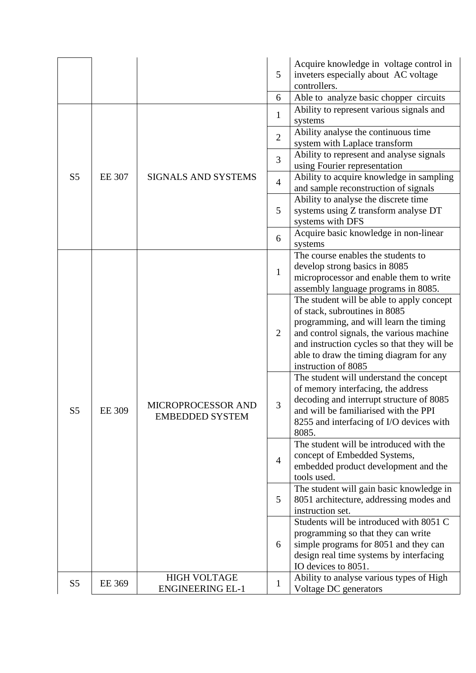|                |               |                                                | 5              | Acquire knowledge in voltage control in<br>inveters especially about AC voltage<br>controllers. |
|----------------|---------------|------------------------------------------------|----------------|-------------------------------------------------------------------------------------------------|
|                |               |                                                | 6              | Able to analyze basic chopper circuits                                                          |
|                |               |                                                | $\mathbf{1}$   | Ability to represent various signals and<br>systems                                             |
|                |               |                                                | $\overline{2}$ | Ability analyse the continuous time<br>system with Laplace transform                            |
|                |               |                                                | $\overline{3}$ | Ability to represent and analyse signals                                                        |
|                |               |                                                |                | using Fourier representation                                                                    |
| S <sub>5</sub> | <b>EE 307</b> | <b>SIGNALS AND SYSTEMS</b>                     | $\overline{4}$ | Ability to acquire knowledge in sampling<br>and sample reconstruction of signals                |
|                |               |                                                |                | Ability to analyse the discrete time                                                            |
|                |               |                                                | 5              | systems using Z transform analyse DT                                                            |
|                |               |                                                |                | systems with DFS                                                                                |
|                |               |                                                | 6              | Acquire basic knowledge in non-linear                                                           |
|                |               |                                                |                | systems                                                                                         |
|                |               |                                                |                | The course enables the students to                                                              |
|                |               |                                                | $\mathbf{1}$   | develop strong basics in 8085                                                                   |
|                |               |                                                |                | microprocessor and enable them to write                                                         |
|                |               |                                                |                | assembly language programs in 8085.                                                             |
|                |               |                                                |                | The student will be able to apply concept                                                       |
|                |               |                                                |                | of stack, subroutines in 8085                                                                   |
|                |               |                                                |                | programming, and will learn the timing                                                          |
|                |               |                                                | $\overline{2}$ | and control signals, the various machine                                                        |
|                |               |                                                |                | and instruction cycles so that they will be                                                     |
|                |               |                                                |                | able to draw the timing diagram for any                                                         |
|                |               |                                                |                | instruction of 8085                                                                             |
|                | <b>EE 309</b> |                                                |                | The student will understand the concept                                                         |
|                |               |                                                |                | of memory interfacing, the address                                                              |
|                |               | MICROPROCESSOR AND                             | 3              | decoding and interrupt structure of 8085                                                        |
| S <sub>5</sub> |               | <b>EMBEDDED SYSTEM</b>                         |                | and will be familiarised with the PPI                                                           |
|                |               |                                                |                | 8255 and interfacing of I/O devices with<br>8085.                                               |
|                |               |                                                |                | The student will be introduced with the                                                         |
|                |               |                                                | $\overline{4}$ | concept of Embedded Systems,                                                                    |
|                |               |                                                |                | embedded product development and the                                                            |
|                |               |                                                |                | tools used.                                                                                     |
|                |               |                                                |                | The student will gain basic knowledge in                                                        |
|                |               |                                                | 5              | 8051 architecture, addressing modes and                                                         |
|                |               |                                                |                | instruction set.                                                                                |
|                |               |                                                |                | Students will be introduced with 8051 C                                                         |
|                |               |                                                |                | programming so that they can write                                                              |
|                |               |                                                | 6              | simple programs for 8051 and they can                                                           |
|                |               |                                                |                | design real time systems by interfacing                                                         |
|                |               |                                                |                | IO devices to 8051.                                                                             |
| S <sub>5</sub> | EE 369        | <b>HIGH VOLTAGE</b><br><b>ENGINEERING EL-1</b> | 1              | Ability to analyse various types of High<br>Voltage DC generators                               |
|                |               |                                                |                |                                                                                                 |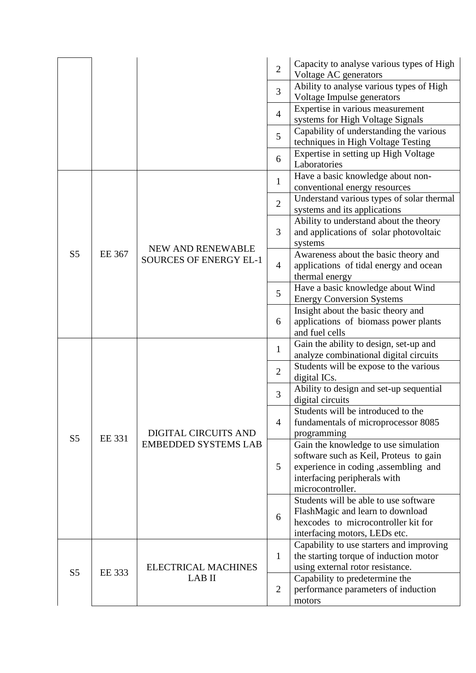|                |               |                             | $\overline{2}$ | Capacity to analyse various types of High<br>Voltage AC generators               |
|----------------|---------------|-----------------------------|----------------|----------------------------------------------------------------------------------|
|                |               |                             | $\overline{3}$ | Ability to analyse various types of High<br>Voltage Impulse generators           |
|                |               |                             | $\overline{4}$ | Expertise in various measurement<br>systems for High Voltage Signals             |
|                |               |                             | 5              | Capability of understanding the various<br>techniques in High Voltage Testing    |
|                |               |                             | 6              | Expertise in setting up High Voltage                                             |
|                |               |                             |                | Laboratories<br>Have a basic knowledge about non-                                |
|                |               |                             | $\mathbf{1}$   | conventional energy resources                                                    |
|                |               |                             | $\overline{2}$ | Understand various types of solar thermal<br>systems and its applications        |
|                |               |                             | 3              | Ability to understand about the theory<br>and applications of solar photovoltaic |
|                |               | NEW AND RENEWABLE           |                | systems                                                                          |
| S <sub>5</sub> | <b>EE 367</b> | SOURCES OF ENERGY EL-1      | $\overline{4}$ | Awareness about the basic theory and<br>applications of tidal energy and ocean   |
|                |               |                             |                | thermal energy                                                                   |
|                |               |                             | 5              | Have a basic knowledge about Wind<br><b>Energy Conversion Systems</b>            |
|                |               |                             | 6              | Insight about the basic theory and                                               |
|                |               |                             |                | applications of biomass power plants<br>and fuel cells                           |
|                |               |                             |                | Gain the ability to design, set-up and                                           |
|                |               |                             | $\mathbf{1}$   | analyze combinational digital circuits                                           |
|                | EE 331        |                             | $\overline{2}$ | Students will be expose to the various<br>digital ICs.                           |
|                |               |                             | 3              | Ability to design and set-up sequential<br>digital circuits                      |
|                |               |                             |                | Students will be introduced to the                                               |
|                |               |                             | $\overline{4}$ | fundamentals of microprocessor 8085                                              |
| S <sub>5</sub> |               | DIGITAL CIRCUITS AND        |                | programming                                                                      |
|                |               | <b>EMBEDDED SYSTEMS LAB</b> |                | Gain the knowledge to use simulation                                             |
|                |               |                             | 5              | software such as Keil, Proteus to gain<br>experience in coding ,assembling and   |
|                |               |                             |                | interfacing peripherals with                                                     |
|                |               |                             |                | microcontroller.                                                                 |
|                |               |                             |                | Students will be able to use software                                            |
|                |               |                             | 6              | FlashMagic and learn to download                                                 |
|                |               |                             |                | hexcodes to microcontroller kit for                                              |
|                |               |                             |                | interfacing motors, LEDs etc.                                                    |
|                |               |                             |                | Capability to use starters and improving                                         |
|                |               | <b>ELECTRICAL MACHINES</b>  | $\mathbf{1}$   | the starting torque of induction motor                                           |
| S <sub>5</sub> | EE 333        | LAB II                      |                | using external rotor resistance.<br>Capability to predetermine the               |
|                |               |                             | $\overline{2}$ | performance parameters of induction                                              |
|                |               |                             |                | motors                                                                           |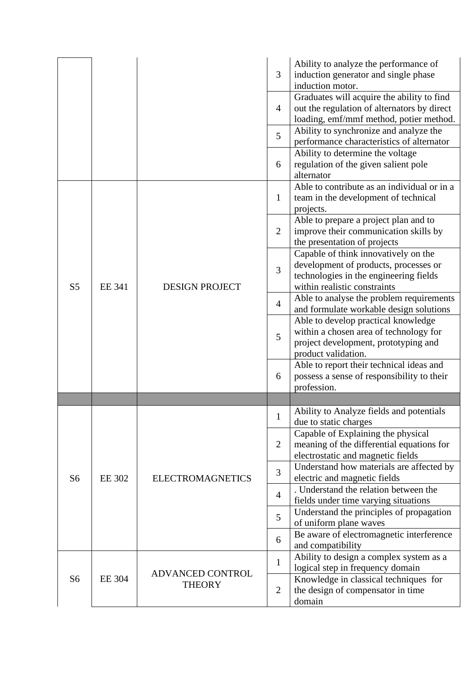|                |               |                                   | 3              | Ability to analyze the performance of<br>induction generator and single phase<br>induction motor.                                                       |
|----------------|---------------|-----------------------------------|----------------|---------------------------------------------------------------------------------------------------------------------------------------------------------|
|                |               |                                   | $\overline{4}$ | Graduates will acquire the ability to find<br>out the regulation of alternators by direct<br>loading, emf/mmf method, potier method.                    |
|                |               |                                   | 5              | Ability to synchronize and analyze the<br>performance characteristics of alternator                                                                     |
|                |               |                                   | 6              | Ability to determine the voltage<br>regulation of the given salient pole<br>alternator                                                                  |
|                |               |                                   | $\mathbf{1}$   | Able to contribute as an individual or in a<br>team in the development of technical<br>projects.                                                        |
|                |               |                                   | $\overline{2}$ | Able to prepare a project plan and to<br>improve their communication skills by<br>the presentation of projects                                          |
| S <sub>5</sub> | <b>EE 341</b> | <b>DESIGN PROJECT</b>             | 3              | Capable of think innovatively on the<br>development of products, processes or<br>technologies in the engineering fields<br>within realistic constraints |
|                |               |                                   | $\overline{4}$ | Able to analyse the problem requirements<br>and formulate workable design solutions                                                                     |
|                |               |                                   | 5              | Able to develop practical knowledge<br>within a chosen area of technology for<br>project development, prototyping and<br>product validation.            |
|                |               |                                   | 6              | Able to report their technical ideas and<br>possess a sense of responsibility to their<br>profession.                                                   |
|                |               |                                   |                |                                                                                                                                                         |
|                |               |                                   | 1              | Ability to Analyze fields and potentials<br>due to static charges                                                                                       |
|                |               |                                   | $\overline{2}$ | Capable of Explaining the physical<br>meaning of the differential equations for<br>electrostatic and magnetic fields                                    |
| S <sub>6</sub> | <b>EE 302</b> | <b>ELECTROMAGNETICS</b>           | 3              | Understand how materials are affected by<br>electric and magnetic fields                                                                                |
|                |               |                                   | $\overline{4}$ | . Understand the relation between the<br>fields under time varying situations                                                                           |
|                |               |                                   | 5              | Understand the principles of propagation<br>of uniform plane waves                                                                                      |
|                |               |                                   | 6              | Be aware of electromagnetic interference<br>and compatibility                                                                                           |
|                |               |                                   | $\mathbf{1}$   | Ability to design a complex system as a<br>logical step in frequency domain                                                                             |
| S <sub>6</sub> | <b>EE 304</b> | ADVANCED CONTROL<br><b>THEORY</b> | $\overline{2}$ | Knowledge in classical techniques for<br>the design of compensator in time<br>domain                                                                    |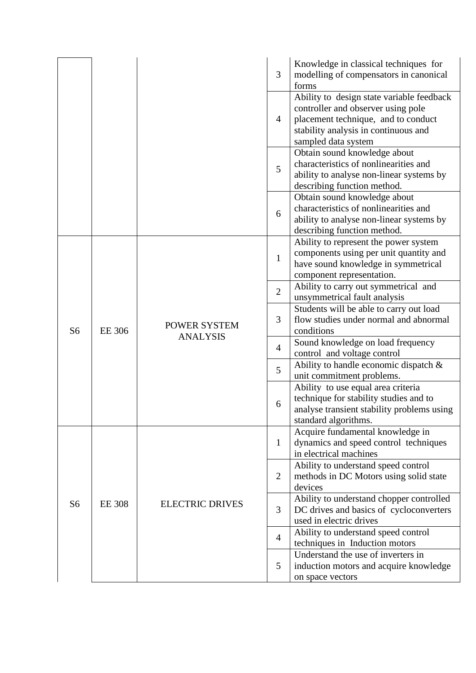|                |               |                                 | 3              | Knowledge in classical techniques for<br>modelling of compensators in canonical<br>forms                                                                                              |
|----------------|---------------|---------------------------------|----------------|---------------------------------------------------------------------------------------------------------------------------------------------------------------------------------------|
|                |               |                                 | $\overline{4}$ | Ability to design state variable feedback<br>controller and observer using pole<br>placement technique, and to conduct<br>stability analysis in continuous and<br>sampled data system |
|                |               |                                 | 5              | Obtain sound knowledge about<br>characteristics of nonlinearities and<br>ability to analyse non-linear systems by<br>describing function method.                                      |
|                |               |                                 | 6              | Obtain sound knowledge about<br>characteristics of nonlinearities and<br>ability to analyse non-linear systems by<br>describing function method.                                      |
|                |               | POWER SYSTEM<br><b>ANALYSIS</b> | $\mathbf{1}$   | Ability to represent the power system<br>components using per unit quantity and<br>have sound knowledge in symmetrical<br>component representation.                                   |
|                |               |                                 | $\overline{2}$ | Ability to carry out symmetrical and<br>unsymmetrical fault analysis                                                                                                                  |
| S <sub>6</sub> | <b>EE 306</b> |                                 | 3              | Students will be able to carry out load<br>flow studies under normal and abnormal<br>conditions                                                                                       |
|                |               |                                 | $\overline{4}$ | Sound knowledge on load frequency<br>control and voltage control                                                                                                                      |
|                |               |                                 | 5              | Ability to handle economic dispatch $\&$<br>unit commitment problems.                                                                                                                 |
|                |               |                                 | 6              | Ability to use equal area criteria<br>technique for stability studies and to<br>analyse transient stability problems using<br>standard algorithms.                                    |
|                |               | <b>ELECTRIC DRIVES</b>          | $\mathbf 1$    | Acquire fundamental knowledge in<br>dynamics and speed control techniques<br>in electrical machines                                                                                   |
|                |               |                                 | $\overline{2}$ | Ability to understand speed control<br>methods in DC Motors using solid state<br>devices                                                                                              |
| S <sub>6</sub> | <b>EE 308</b> |                                 | 3              | Ability to understand chopper controlled<br>DC drives and basics of cycloconverters<br>used in electric drives                                                                        |
|                |               |                                 | $\overline{4}$ | Ability to understand speed control<br>techniques in Induction motors                                                                                                                 |
|                |               |                                 | 5              | Understand the use of inverters in<br>induction motors and acquire knowledge<br>on space vectors                                                                                      |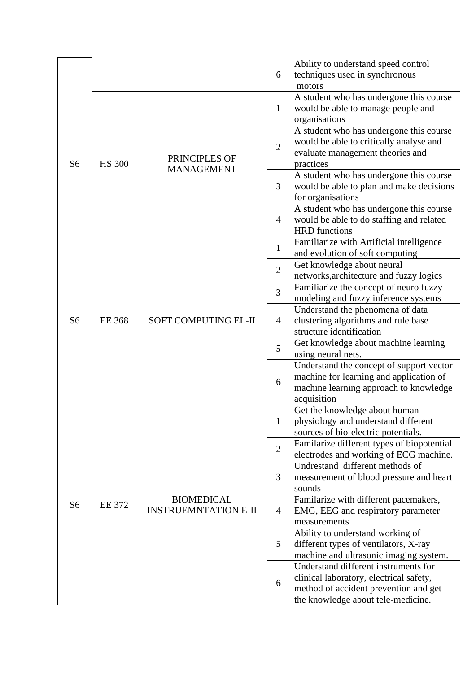|                |               |                                                  | 6              | Ability to understand speed control<br>techniques used in synchronous<br>motors                                                                                |
|----------------|---------------|--------------------------------------------------|----------------|----------------------------------------------------------------------------------------------------------------------------------------------------------------|
|                |               |                                                  | $\mathbf{1}$   | A student who has undergone this course<br>would be able to manage people and<br>organisations                                                                 |
| S <sub>6</sub> | <b>HS 300</b> | PRINCIPLES OF                                    | $\overline{2}$ | A student who has undergone this course<br>would be able to critically analyse and<br>evaluate management theories and<br>practices                            |
|                |               | <b>MANAGEMENT</b>                                | 3              | A student who has undergone this course<br>would be able to plan and make decisions<br>for organisations                                                       |
|                |               |                                                  | $\overline{4}$ | A student who has undergone this course<br>would be able to do staffing and related<br><b>HRD</b> functions                                                    |
|                |               |                                                  | $\mathbf{1}$   | Familiarize with Artificial intelligence<br>and evolution of soft computing                                                                                    |
|                |               |                                                  | $\overline{2}$ | Get knowledge about neural<br>networks, architecture and fuzzy logics                                                                                          |
|                | <b>EE</b> 368 | SOFT COMPUTING EL-II                             | 3              | Familiarize the concept of neuro fuzzy<br>modeling and fuzzy inference systems                                                                                 |
| S <sub>6</sub> |               |                                                  | $\overline{4}$ | Understand the phenomena of data<br>clustering algorithms and rule base<br>structure identification                                                            |
|                |               |                                                  | 5              | Get knowledge about machine learning<br>using neural nets.                                                                                                     |
|                |               |                                                  | 6              | Understand the concept of support vector<br>machine for learning and application of<br>machine learning approach to knowledge<br>acquisition                   |
|                |               |                                                  | 1              | Get the knowledge about human<br>physiology and understand different<br>sources of bio-electric potentials.                                                    |
|                |               |                                                  | $\overline{2}$ | Familarize different types of biopotential<br>electrodes and working of ECG machine.                                                                           |
|                |               |                                                  | 3              | Undrestand different methods of<br>measurement of blood pressure and heart<br>sounds                                                                           |
| S <sub>6</sub> | <b>EE 372</b> | <b>BIOMEDICAL</b><br><b>INSTRUEMNTATION E-II</b> | $\overline{4}$ | Familarize with different pacemakers,<br>EMG, EEG and respiratory parameter<br>measurements                                                                    |
|                |               |                                                  | 5              | Ability to understand working of<br>different types of ventilators, X-ray<br>machine and ultrasonic imaging system.                                            |
|                |               |                                                  | 6              | Understand different instruments for<br>clinical laboratory, electrical safety,<br>method of accident prevention and get<br>the knowledge about tele-medicine. |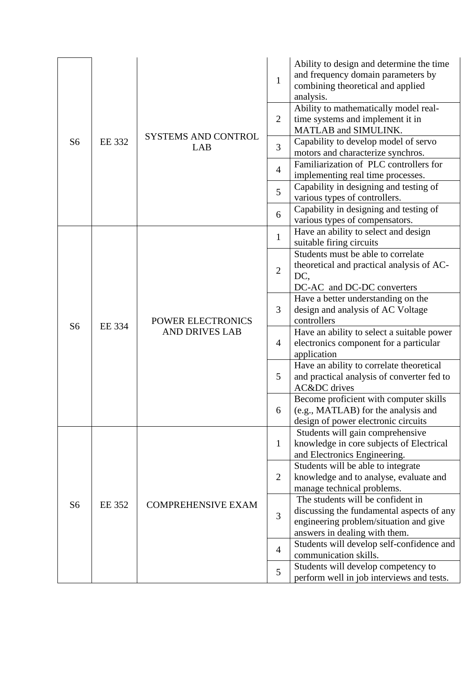|                |               |                            | $\mathbf{1}$   | Ability to design and determine the time<br>and frequency domain parameters by<br>combining theoretical and applied<br>analysis. |
|----------------|---------------|----------------------------|----------------|----------------------------------------------------------------------------------------------------------------------------------|
|                |               |                            | $\overline{2}$ | Ability to mathematically model real-<br>time systems and implement it in<br>MATLAB and SIMULINK.                                |
| S <sub>6</sub> | EE 332        | SYSTEMS AND CONTROL<br>LAB | 3              | Capability to develop model of servo<br>motors and characterize synchros.                                                        |
|                |               |                            | $\overline{4}$ | Familiarization of PLC controllers for                                                                                           |
|                |               |                            | 5              | implementing real time processes.<br>Capability in designing and testing of                                                      |
|                |               |                            |                | various types of controllers.<br>Capability in designing and testing of                                                          |
|                |               |                            | 6              | various types of compensators.                                                                                                   |
|                |               |                            | $\mathbf{1}$   | Have an ability to select and design<br>suitable firing circuits                                                                 |
|                |               |                            |                | Students must be able to correlate                                                                                               |
|                | <b>EE</b> 334 | POWER ELECTRONICS          | $\overline{2}$ | theoretical and practical analysis of AC-<br>DC,                                                                                 |
|                |               |                            |                | DC-AC and DC-DC converters<br>Have a better understanding on the                                                                 |
|                |               |                            | 3              | design and analysis of AC Voltage                                                                                                |
| S <sub>6</sub> |               |                            |                | controllers                                                                                                                      |
|                |               | <b>AND DRIVES LAB</b>      | $\overline{4}$ | Have an ability to select a suitable power<br>electronics component for a particular                                             |
|                |               |                            |                | application                                                                                                                      |
|                |               |                            | 5              | Have an ability to correlate theoretical                                                                                         |
|                |               |                            |                | and practical analysis of converter fed to<br>AC&DC drives                                                                       |
|                |               |                            | 6              | Become proficient with computer skills                                                                                           |
|                |               |                            |                | (e.g., MATLAB) for the analysis and<br>design of power electronic circuits                                                       |
|                |               |                            |                | Students will gain comprehensive                                                                                                 |
|                |               |                            | $\mathbf{1}$   | knowledge in core subjects of Electrical                                                                                         |
|                |               |                            |                | and Electronics Engineering.<br>Students will be able to integrate                                                               |
|                |               |                            | $\overline{2}$ | knowledge and to analyse, evaluate and                                                                                           |
|                |               |                            |                | manage technical problems.<br>The students will be confident in                                                                  |
| S <sub>6</sub> | <b>EE 352</b> | <b>COMPREHENSIVE EXAM</b>  |                | discussing the fundamental aspects of any                                                                                        |
|                |               |                            | 3              | engineering problem/situation and give                                                                                           |
|                |               |                            |                | answers in dealing with them.                                                                                                    |
|                |               |                            | $\overline{4}$ | Students will develop self-confidence and<br>communication skills.                                                               |
|                |               |                            | 5              | Students will develop competency to                                                                                              |
|                |               |                            |                | perform well in job interviews and tests.                                                                                        |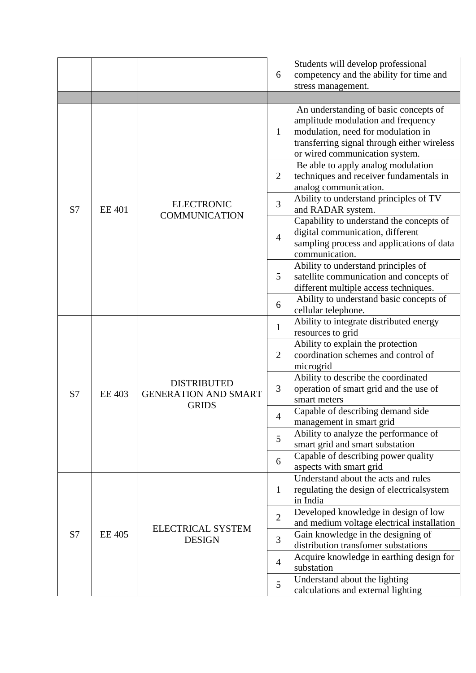|    |               |                                                                   | 6              | Students will develop professional<br>competency and the ability for time and<br>stress management.                                                                                                |
|----|---------------|-------------------------------------------------------------------|----------------|----------------------------------------------------------------------------------------------------------------------------------------------------------------------------------------------------|
|    |               |                                                                   | $\mathbf{1}$   | An understanding of basic concepts of<br>amplitude modulation and frequency<br>modulation, need for modulation in<br>transferring signal through either wireless<br>or wired communication system. |
|    |               |                                                                   | $\overline{2}$ | Be able to apply analog modulation<br>techniques and receiver fundamentals in<br>analog communication.                                                                                             |
| S7 | <b>EE 401</b> | <b>ELECTRONIC</b><br><b>COMMUNICATION</b>                         | 3              | Ability to understand principles of TV<br>and RADAR system.                                                                                                                                        |
|    |               |                                                                   | $\overline{4}$ | Capability to understand the concepts of<br>digital communication, different<br>sampling process and applications of data<br>communication.                                                        |
|    |               |                                                                   | 5              | Ability to understand principles of<br>satellite communication and concepts of<br>different multiple access techniques.                                                                            |
|    |               |                                                                   | 6              | Ability to understand basic concepts of<br>cellular telephone.                                                                                                                                     |
|    |               | <b>DISTRIBUTED</b><br><b>GENERATION AND SMART</b><br><b>GRIDS</b> | $\mathbf{1}$   | Ability to integrate distributed energy<br>resources to grid                                                                                                                                       |
|    | <b>EE 403</b> |                                                                   | $\overline{2}$ | Ability to explain the protection<br>coordination schemes and control of<br>microgrid                                                                                                              |
| S7 |               |                                                                   | 3              | Ability to describe the coordinated<br>operation of smart grid and the use of<br>smart meters                                                                                                      |
|    |               |                                                                   | 4              | Capable of describing demand side<br>management in smart grid                                                                                                                                      |
|    |               |                                                                   | 5              | Ability to analyze the performance of<br>smart grid and smart substation                                                                                                                           |
|    |               |                                                                   | 6              | Capable of describing power quality<br>aspects with smart grid                                                                                                                                     |
|    |               |                                                                   | $\mathbf{1}$   | Understand about the acts and rules<br>regulating the design of electrical system<br>in India                                                                                                      |
|    |               |                                                                   | $\overline{2}$ | Developed knowledge in design of low                                                                                                                                                               |
| S7 | <b>EE 405</b> | <b>ELECTRICAL SYSTEM</b><br><b>DESIGN</b>                         | 3              | and medium voltage electrical installation<br>Gain knowledge in the designing of                                                                                                                   |
|    |               |                                                                   | $\overline{4}$ | distribution transfomer substations<br>Acquire knowledge in earthing design for<br>substation                                                                                                      |
|    |               |                                                                   | 5              | Understand about the lighting<br>calculations and external lighting                                                                                                                                |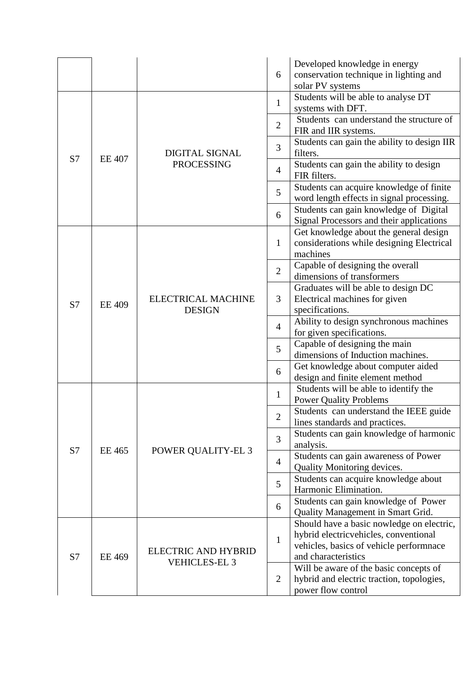|    |                                |                                                    | 6              | Developed knowledge in energy<br>conservation technique in lighting and<br>solar PV systems |
|----|--------------------------------|----------------------------------------------------|----------------|---------------------------------------------------------------------------------------------|
| S7 | <b>EE 407</b>                  | <b>DIGITAL SIGNAL</b><br><b>PROCESSING</b>         | $\mathbf{1}$   | Students will be able to analyse DT<br>systems with DFT.                                    |
|    |                                |                                                    | $\overline{2}$ | Students can understand the structure of<br>FIR and IIR systems.                            |
|    |                                |                                                    | 3              | Students can gain the ability to design IIR<br>filters.                                     |
|    |                                |                                                    | $\overline{4}$ | Students can gain the ability to design<br>FIR filters.                                     |
|    |                                |                                                    | 5              | Students can acquire knowledge of finite<br>word length effects in signal processing.       |
|    |                                |                                                    | 6              | Students can gain knowledge of Digital<br>Signal Processors and their applications          |
|    |                                |                                                    | 1              | Get knowledge about the general design<br>considerations while designing Electrical         |
|    |                                |                                                    |                | machines                                                                                    |
|    |                                |                                                    | $\overline{2}$ | Capable of designing the overall<br>dimensions of transformers                              |
| S7 | <b>EE 409</b><br><b>EE 465</b> | <b>ELECTRICAL MACHINE</b>                          | 3              | Graduates will be able to design DC<br>Electrical machines for given                        |
|    |                                | <b>DESIGN</b>                                      | $\overline{4}$ | specifications.<br>Ability to design synchronous machines                                   |
|    |                                | POWER QUALITY-EL 3                                 | 5              | for given specifications.<br>Capable of designing the main                                  |
|    |                                |                                                    | 6              | dimensions of Induction machines.<br>Get knowledge about computer aided                     |
|    |                                |                                                    | $\mathbf{1}$   | design and finite element method<br>Students will be able to identify the                   |
|    |                                |                                                    |                | <b>Power Quality Problems</b><br>Students can understand the IEEE guide                     |
|    |                                |                                                    | $\overline{2}$ | lines standards and practices.<br>Students can gain knowledge of harmonic                   |
| S7 |                                |                                                    | 3              | analysis.<br>Students can gain awareness of Power                                           |
|    |                                |                                                    | $\overline{4}$ | Quality Monitoring devices.                                                                 |
|    |                                |                                                    | 5              | Students can acquire knowledge about<br>Harmonic Elimination.                               |
|    |                                |                                                    | 6              | Students can gain knowledge of Power<br>Quality Management in Smart Grid.                   |
| S7 | <b>EE 469</b>                  | <b>ELECTRIC AND HYBRID</b><br><b>VEHICLES-EL 3</b> |                | Should have a basic nowledge on electric,<br>hybrid electricvehicles, conventional          |
|    |                                |                                                    | $\mathbf{1}$   | vehicles, basics of vehicle performnace<br>and characteristics                              |
|    |                                |                                                    | $\overline{2}$ | Will be aware of the basic concepts of<br>hybrid and electric traction, topologies,         |
|    |                                |                                                    |                | power flow control                                                                          |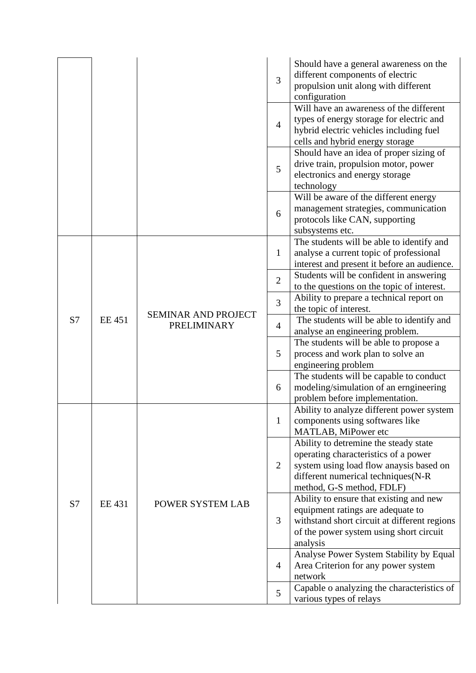|    |               |                                           | 3              | Should have a general awareness on the<br>different components of electric<br>propulsion unit along with different<br>configuration                                                         |
|----|---------------|-------------------------------------------|----------------|---------------------------------------------------------------------------------------------------------------------------------------------------------------------------------------------|
|    |               |                                           | $\overline{4}$ | Will have an awareness of the different<br>types of energy storage for electric and<br>hybrid electric vehicles including fuel<br>cells and hybrid energy storage                           |
|    |               |                                           | 5              | Should have an idea of proper sizing of<br>drive train, propulsion motor, power<br>electronics and energy storage<br>technology                                                             |
|    |               |                                           | 6              | Will be aware of the different energy<br>management strategies, communication<br>protocols like CAN, supporting<br>subsystems etc.                                                          |
|    |               | <b>SEMINAR AND PROJECT</b><br>PRELIMINARY | 1              | The students will be able to identify and<br>analyse a current topic of professional<br>interest and present it before an audience.                                                         |
|    |               |                                           | $\overline{2}$ | Students will be confident in answering<br>to the questions on the topic of interest.                                                                                                       |
|    | <b>EE 451</b> |                                           | 3              | Ability to prepare a technical report on<br>the topic of interest.                                                                                                                          |
| S7 |               |                                           | $\overline{4}$ | The students will be able to identify and<br>analyse an engineering problem.                                                                                                                |
|    |               |                                           | 5              | The students will be able to propose a<br>process and work plan to solve an<br>engineering problem                                                                                          |
|    |               |                                           | 6              | The students will be capable to conduct<br>modeling/simulation of an erngineering<br>problem before implementation.                                                                         |
| S7 | <b>EE 431</b> | POWER SYSTEM LAB                          | $\mathbf{1}$   | Ability to analyze different power system<br>components using softwares like<br>MATLAB, MiPower etc                                                                                         |
|    |               |                                           | $\overline{2}$ | Ability to detremine the steady state<br>operating characteristics of a power<br>system using load flow anaysis based on<br>different numerical techniques(N-R<br>method, G-S method, FDLF) |
|    |               |                                           | 3              | Ability to ensure that existing and new<br>equipment ratings are adequate to<br>withstand short circuit at different regions<br>of the power system using short circuit<br>analysis         |
|    |               |                                           | $\overline{4}$ | Analyse Power System Stability by Equal<br>Area Criterion for any power system<br>network                                                                                                   |
|    |               |                                           | 5              | Capable o analyzing the characteristics of<br>various types of relays                                                                                                                       |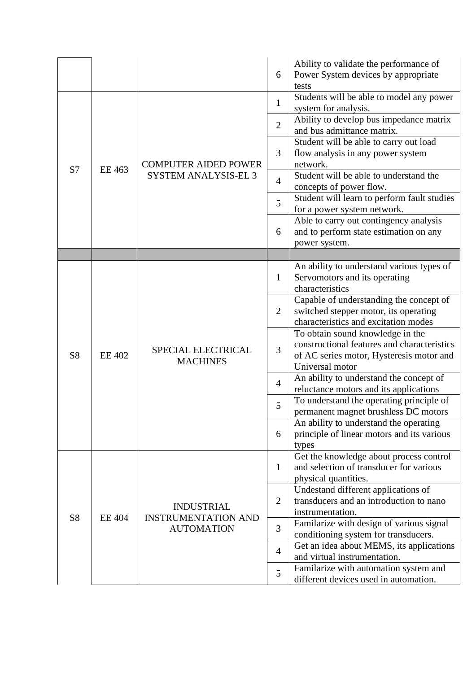|                |               |                                                                      | 6              | Ability to validate the performance of<br>Power System devices by appropriate<br>tests                                                         |
|----------------|---------------|----------------------------------------------------------------------|----------------|------------------------------------------------------------------------------------------------------------------------------------------------|
| S <sub>7</sub> | EE 463        | <b>COMPUTER AIDED POWER</b><br><b>SYSTEM ANALYSIS-EL 3</b>           | $\mathbf{1}$   | Students will be able to model any power<br>system for analysis.                                                                               |
|                |               |                                                                      | $\overline{2}$ | Ability to develop bus impedance matrix<br>and bus admittance matrix.                                                                          |
|                |               |                                                                      | 3              | Student will be able to carry out load<br>flow analysis in any power system<br>network.                                                        |
|                |               |                                                                      | $\overline{4}$ | Student will be able to understand the<br>concepts of power flow.                                                                              |
|                |               |                                                                      | 5              | Student will learn to perform fault studies<br>for a power system network.                                                                     |
|                |               |                                                                      | 6              | Able to carry out contingency analysis<br>and to perform state estimation on any<br>power system.                                              |
|                |               |                                                                      |                |                                                                                                                                                |
|                | <b>EE 402</b> | SPECIAL ELECTRICAL<br><b>MACHINES</b>                                | $\mathbf{1}$   | An ability to understand various types of<br>Servomotors and its operating<br>characteristics                                                  |
| <b>S8</b>      |               |                                                                      | $\overline{2}$ | Capable of understanding the concept of<br>switched stepper motor, its operating<br>characteristics and excitation modes                       |
|                |               |                                                                      | 3              | To obtain sound knowledge in the<br>constructional features and characteristics<br>of AC series motor, Hysteresis motor and<br>Universal motor |
|                |               |                                                                      | $\overline{4}$ | An ability to understand the concept of<br>reluctance motors and its applications                                                              |
|                |               |                                                                      | 5              | To understand the operating principle of<br>permanent magnet brushless DC motors                                                               |
|                |               |                                                                      | 6              | An ability to understand the operating<br>principle of linear motors and its various<br>types                                                  |
| S <sub>8</sub> | <b>EE 404</b> | <b>INDUSTRIAL</b><br><b>INSTRUMENTATION AND</b><br><b>AUTOMATION</b> | $\mathbf{1}$   | Get the knowledge about process control<br>and selection of transducer for various<br>physical quantities.                                     |
|                |               |                                                                      | $\overline{2}$ | Undestand different applications of<br>transducers and an introduction to nano<br>instrumentation.                                             |
|                |               |                                                                      | 3              | Familarize with design of various signal<br>conditioning system for transducers.                                                               |
|                |               |                                                                      | $\overline{4}$ | Get an idea about MEMS, its applications<br>and virtual instrumentation.                                                                       |
|                |               |                                                                      | 5              | Familarize with automation system and<br>different devices used in automation.                                                                 |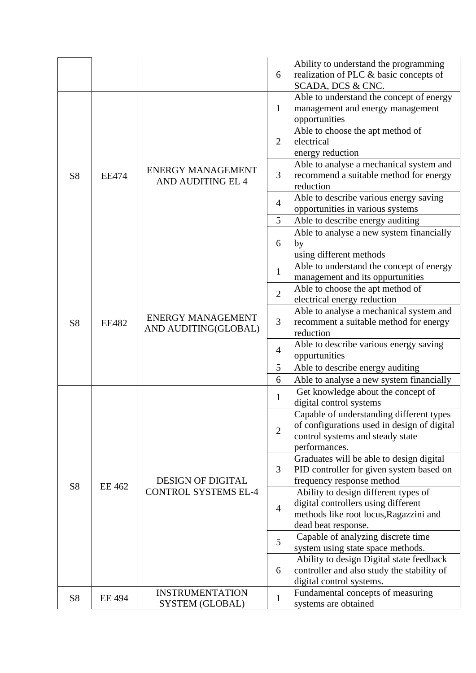|                |              |                                                      | 6                              | Ability to understand the programming<br>realization of PLC & basic concepts of         |
|----------------|--------------|------------------------------------------------------|--------------------------------|-----------------------------------------------------------------------------------------|
|                |              |                                                      |                                | SCADA, DCS & CNC.                                                                       |
|                |              |                                                      | 1                              | Able to understand the concept of energy                                                |
|                |              |                                                      |                                | management and energy management<br>opportunities                                       |
|                |              | <b>ENERGY MANAGEMENT</b><br><b>AND AUDITING EL 4</b> |                                | Able to choose the apt method of                                                        |
|                |              |                                                      | $\overline{2}$                 | electrical                                                                              |
|                |              |                                                      |                                | energy reduction                                                                        |
|                | <b>EE474</b> |                                                      | 3                              | Able to analyse a mechanical system and                                                 |
| S <sub>8</sub> |              |                                                      |                                | recommend a suitable method for energy                                                  |
|                |              |                                                      |                                | reduction                                                                               |
|                |              |                                                      | $\overline{4}$                 | Able to describe various energy saving<br>opportunities in various systems              |
|                |              |                                                      | 5                              | Able to describe energy auditing                                                        |
|                |              |                                                      |                                | Able to analyse a new system financially                                                |
|                |              |                                                      | 6                              | by                                                                                      |
|                |              |                                                      |                                | using different methods                                                                 |
|                |              |                                                      | $\mathbf{1}$<br>$\overline{2}$ | Able to understand the concept of energy                                                |
|                |              |                                                      |                                | management and its oppurtunities                                                        |
|                |              |                                                      |                                | Able to choose the apt method of                                                        |
|                | <b>EE482</b> |                                                      |                                | electrical energy reduction                                                             |
| <b>S8</b>      |              | <b>ENERGY MANAGEMENT</b>                             | 3                              | Able to analyse a mechanical system and<br>recomment a suitable method for energy       |
|                |              | AND AUDITING(GLOBAL)                                 |                                | reduction                                                                               |
|                |              |                                                      |                                | Able to describe various energy saving                                                  |
|                |              |                                                      | $\overline{4}$                 | oppurtunities                                                                           |
|                |              |                                                      | 5                              | Able to describe energy auditing                                                        |
|                |              |                                                      | 6                              | Able to analyse a new system financially                                                |
|                |              |                                                      | $\mathbf{1}$                   | Get knowledge about the concept of                                                      |
|                |              |                                                      |                                | digital control systems                                                                 |
|                |              |                                                      | $\overline{2}$                 | Capable of understanding different types<br>of configurations used in design of digital |
|                |              |                                                      |                                | control systems and steady state                                                        |
|                |              |                                                      |                                | performances.                                                                           |
|                |              |                                                      |                                | Graduates will be able to design digital                                                |
|                |              |                                                      | 3                              | PID controller for given system based on                                                |
| <b>S8</b>      | EE 462       | <b>DESIGN OF DIGITAL</b>                             |                                | frequency response method                                                               |
|                |              | <b>CONTROL SYSTEMS EL-4</b>                          | $\overline{4}$                 | Ability to design different types of                                                    |
|                |              |                                                      |                                | digital controllers using different                                                     |
|                |              |                                                      |                                | methods like root locus, Ragazzini and<br>dead beat response.                           |
|                |              |                                                      | 5                              | Capable of analyzing discrete time                                                      |
|                |              |                                                      |                                | system using state space methods.                                                       |
|                |              |                                                      |                                | Ability to design Digital state feedback                                                |
|                |              |                                                      | 6                              | controller and also study the stability of                                              |
|                |              |                                                      |                                | digital control systems.                                                                |
| S <sub>8</sub> | EE 494       | <b>INSTRUMENTATION</b>                               | $\mathbf{1}$                   | Fundamental concepts of measuring                                                       |
|                |              | SYSTEM (GLOBAL)                                      |                                | systems are obtained                                                                    |